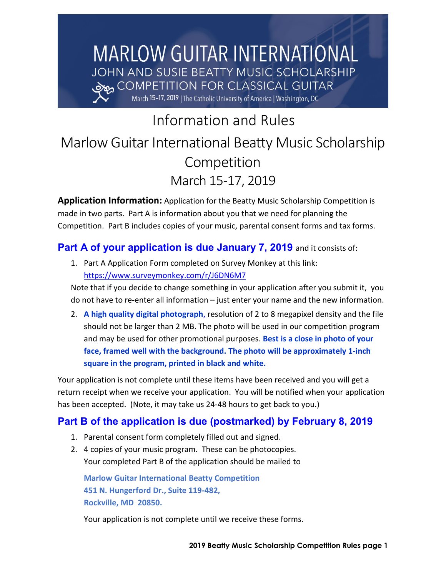# **MARLOW GUITAR INTERNATIONAL** JOHN AND SUSIE BEATTY MUSIC SCHOLARSHIP COMPETITION FOR CLASSICAL GUITAR وهده March 15-17, 2019 | The Catholic University of America | Washington, DC

Information and Rules

# Marlow Guitar International Beatty Music Scholarship **Competition** March 15-17, 2019

**Application Information:** Application for the Beatty Music Scholarship Competition is made in two parts. Part A is information about you that we need for planning the Competition. Part B includes copies of your music, parental consent forms and tax forms.

## **Part A of your application is due January 7, 2019** and it consists of:

1. Part A Application Form completed on Survey Monkey at this link: <https://www.surveymonkey.com/r/J6DN6M7>

Note that if you decide to change something in your application after you submit it, you do not have to re-enter all information – just enter your name and the new information.

2. **A high quality digital photograph**, resolution of 2 to 8 megapixel density and the file should not be larger than 2 MB. The photo will be used in our competition program and may be used for other promotional purposes. **Best is a close in photo of your face, framed well with the background. The photo will be approximately 1-inch square in the program, printed in black and white.**

Your application is not complete until these items have been received and you will get a return receipt when we receive your application. You will be notified when your application has been accepted. (Note, it may take us 24-48 hours to get back to you.)

## **Part B of the application is due (postmarked) by February 8, 2019**

- 1. Parental consent form completely filled out and signed.
- 2. 4 copies of your music program. These can be photocopies. Your completed Part B of the application should be mailed to

**Marlow Guitar International Beatty Competition 451 N. Hungerford Dr., Suite 119-482, Rockville, MD 20850.**

Your application is not complete until we receive these forms.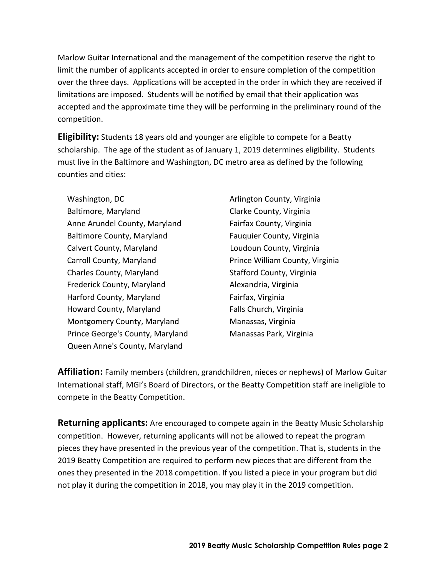Marlow Guitar International and the management of the competition reserve the right to limit the number of applicants accepted in order to ensure completion of the competition over the three days. Applications will be accepted in the order in which they are received if limitations are imposed. Students will be notified by email that their application was accepted and the approximate time they will be performing in the preliminary round of the competition.

**Eligibility:** Students 18 years old and younger are eligible to compete for a Beatty scholarship. The age of the student as of January 1, 2019 determines eligibility. Students must live in the Baltimore and Washington, DC metro area as defined by the following counties and cities:

Washington, DC Baltimore, Maryland Anne Arundel County, Maryland Baltimore County, Maryland Calvert County, Maryland Carroll County, Maryland Charles County, Maryland Frederick County, Maryland Harford County, Maryland Howard County, Maryland Montgomery County, Maryland Prince George's County, Maryland Queen Anne's County, Maryland

Arlington County, Virginia Clarke County, Virginia Fairfax County, Virginia Fauquier County, Virginia Loudoun County, Virginia Prince William County, Virginia Stafford County, Virginia Alexandria, Virginia Fairfax, Virginia Falls Church, Virginia Manassas, Virginia Manassas Park, Virginia

**Affiliation:** Family members (children, grandchildren, nieces or nephews) of Marlow Guitar International staff, MGI's Board of Directors, or the Beatty Competition staff are ineligible to compete in the Beatty Competition.

**Returning applicants:** Are encouraged to compete again in the Beatty Music Scholarship competition. However, returning applicants will not be allowed to repeat the program pieces they have presented in the previous year of the competition. That is, students in the 2019 Beatty Competition are required to perform new pieces that are different from the ones they presented in the 2018 competition. If you listed a piece in your program but did not play it during the competition in 2018, you may play it in the 2019 competition.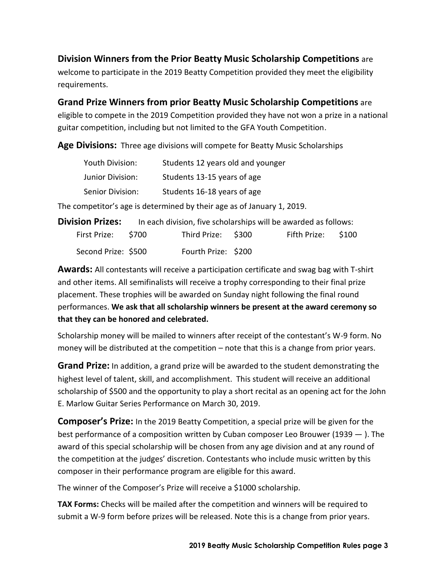**Division Winners from the Prior Beatty Music Scholarship Competitions** are

welcome to participate in the 2019 Beatty Competition provided they meet the eligibility requirements.

**Grand Prize Winners from prior Beatty Music Scholarship Competitions** are eligible to compete in the 2019 Competition provided they have not won a prize in a national

guitar competition, including but not limited to the GFA Youth Competition.

**Age Divisions:** Three age divisions will compete for Beatty Music Scholarships

| Youth Division:         | Students 12 years old and younger |
|-------------------------|-----------------------------------|
| <b>Junior Division:</b> | Students 13-15 years of age       |
| Senior Division:        | Students 16-18 years of age       |

The competitor's age is determined by their age as of January 1, 2019.

| <b>Division Prizes:</b> |                     | In each division, five scholarships will be awarded as follows: |  |
|-------------------------|---------------------|-----------------------------------------------------------------|--|
| First Prize: \$700      | Third Prize: \$300  | Fifth Prize: \$100                                              |  |
| Second Prize: \$500     | Fourth Prize: \$200 |                                                                 |  |

**Awards:** All contestants will receive a participation certificate and swag bag with T-shirt and other items. All semifinalists will receive a trophy corresponding to their final prize placement. These trophies will be awarded on Sunday night following the final round performances. **We ask that all scholarship winners be present at the award ceremony so that they can be honored and celebrated.**

Scholarship money will be mailed to winners after receipt of the contestant's W-9 form. No money will be distributed at the competition – note that this is a change from prior years.

**Grand Prize:** In addition, a grand prize will be awarded to the student demonstrating the highest level of talent, skill, and accomplishment. This student will receive an additional scholarship of \$500 and the opportunity to play a short recital as an opening act for the John E. Marlow Guitar Series Performance on March 30, 2019.

**Composer's Prize:** In the 2019 Beatty Competition, a special prize will be given for the best performance of a composition written by Cuban composer Leo Brouwer (1939 — ). The award of this special scholarship will be chosen from any age division and at any round of the competition at the judges' discretion. Contestants who include music written by this composer in their performance program are eligible for this award.

The winner of the Composer's Prize will receive a \$1000 scholarship.

**TAX Forms:** Checks will be mailed after the competition and winners will be required to submit a W-9 form before prizes will be released. Note this is a change from prior years.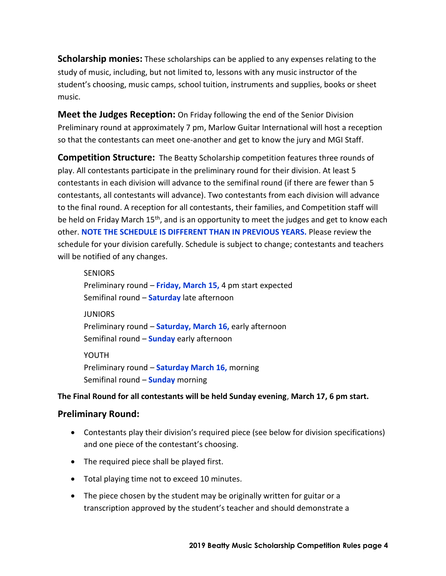**Scholarship monies:** These scholarships can be applied to any expenses relating to the study of music, including, but not limited to, lessons with any music instructor of the student's choosing, music camps, school tuition, instruments and supplies, books or sheet music.

**Meet the Judges Reception:** On Friday following the end of the Senior Division Preliminary round at approximately 7 pm, Marlow Guitar International will host a reception so that the contestants can meet one-another and get to know the jury and MGI Staff.

**Competition Structure:** The Beatty Scholarship competition features three rounds of play. All contestants participate in the preliminary round for their division. At least 5 contestants in each division will advance to the semifinal round (if there are fewer than 5 contestants, all contestants will advance). Two contestants from each division will advance to the final round. A reception for all contestants, their families, and Competition staff will be held on Friday March 15<sup>th</sup>, and is an opportunity to meet the judges and get to know each other. **NOTE THE SCHEDULE IS DIFFERENT THAN IN PREVIOUS YEARS.** Please review the schedule for your division carefully. Schedule is subject to change; contestants and teachers will be notified of any changes.

**SENIORS** Preliminary round – **Friday, March 15,** 4 pm start expected Semifinal round – **Saturday** late afternoon **JUNIORS** Preliminary round – **Saturday, March 16,** early afternoon Semifinal round – **Sunday** early afternoon YOUTH Preliminary round – **Saturday March 16,** morning Semifinal round – **Sunday** morning

#### **The Final Round for all contestants will be held Sunday evening**, **March 17, 6 pm start.**

#### **Preliminary Round:**

- Contestants play their division's required piece (see below for division specifications) and one piece of the contestant's choosing.
- The required piece shall be played first.
- Total playing time not to exceed 10 minutes.
- The piece chosen by the student may be originally written for guitar or a transcription approved by the student's teacher and should demonstrate a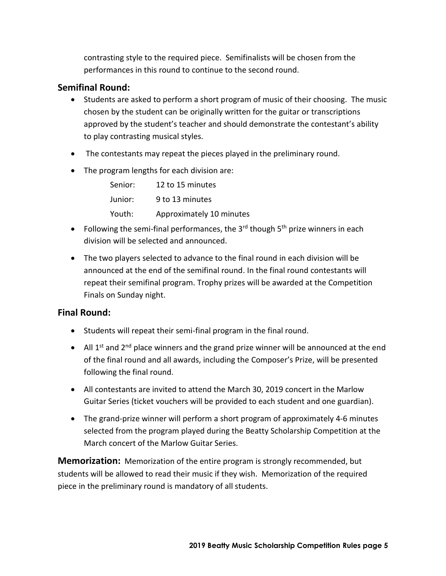contrasting style to the required piece. Semifinalists will be chosen from the performances in this round to continue to the second round.

#### **Semifinal Round:**

- Students are asked to perform a short program of music of their choosing. The music chosen by the student can be originally written for the guitar or transcriptions approved by the student's teacher and should demonstrate the contestant's ability to play contrasting musical styles.
- The contestants may repeat the pieces played in the preliminary round.
- The program lengths for each division are:

| Senior: | 12 to 15 minutes         |
|---------|--------------------------|
| Junior: | 9 to 13 minutes          |
| Youth:  | Approximately 10 minutes |

- Following the semi-final performances, the  $3<sup>rd</sup>$  though  $5<sup>th</sup>$  prize winners in each division will be selected and announced.
- The two players selected to advance to the final round in each division will be announced at the end of the semifinal round. In the final round contestants will repeat their semifinal program. Trophy prizes will be awarded at the Competition Finals on Sunday night.

#### **Final Round:**

- Students will repeat their semi-final program in the final round.
- All  $1^{st}$  and  $2^{nd}$  place winners and the grand prize winner will be announced at the end of the final round and all awards, including the Composer's Prize, will be presented following the final round.
- All contestants are invited to attend the March 30, 2019 concert in the Marlow Guitar Series (ticket vouchers will be provided to each student and one guardian).
- The grand-prize winner will perform a short program of approximately 4-6 minutes selected from the program played during the Beatty Scholarship Competition at the March concert of the Marlow Guitar Series.

**Memorization:** Memorization of the entire program is strongly recommended, but students will be allowed to read their music if they wish. Memorization of the required piece in the preliminary round is mandatory of all students.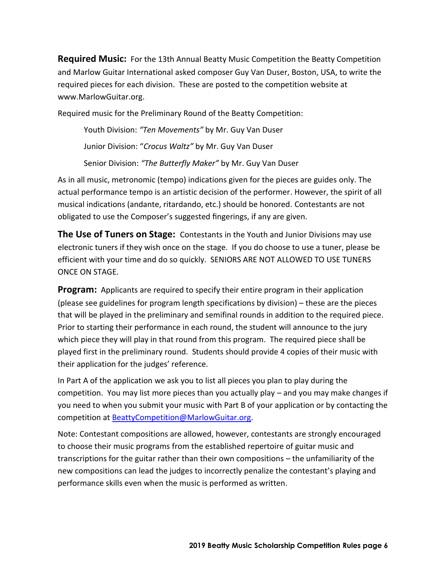**Required Music:** For the 13th Annual Beatty Music Competition the Beatty Competition and Marlow Guitar International asked composer Guy Van Duser, Boston, USA, to write the required pieces for each division. These are posted to the competition website at www.MarlowGuitar.org.

Required music for the Preliminary Round of the Beatty Competition:

Youth Division: *"Ten Movements"* by Mr. Guy Van Duser Junior Division: "*Crocus Waltz"* by Mr. Guy Van Duser Senior Division: *"The Butterfly Maker"* by Mr. Guy Van Duser

As in all music, metronomic (tempo) indications given for the pieces are guides only. The actual performance tempo is an artistic decision of the performer. However, the spirit of all musical indications (andante, ritardando, etc.) should be honored. Contestants are not obligated to use the Composer's suggested fingerings, if any are given.

**The Use of Tuners on Stage:** Contestants in the Youth and Junior Divisions may use electronic tuners if they wish once on the stage. If you do choose to use a tuner, please be efficient with your time and do so quickly. SENIORS ARE NOT ALLOWED TO USE TUNERS ONCE ON STAGE.

**Program:** Applicants are required to specify their entire program in their application (please see guidelines for program length specifications by division) – these are the pieces that will be played in the preliminary and semifinal rounds in addition to the required piece. Prior to starting their performance in each round, the student will announce to the jury which piece they will play in that round from this program. The required piece shall be played first in the preliminary round. Students should provide 4 copies of their music with their application for the judges' reference.

In Part A of the application we ask you to list all pieces you plan to play during the competition. You may list more pieces than you actually play – and you may make changes if you need to when you submit your music with Part B of your application or by contacting the competition at [BeattyCompetition@MarlowGuitar.org.](mailto:BeattyCompetition@yahoo.com)

Note: Contestant compositions are allowed, however, contestants are strongly encouraged to choose their music programs from the established repertoire of guitar music and transcriptions for the guitar rather than their own compositions – the unfamiliarity of the new compositions can lead the judges to incorrectly penalize the contestant's playing and performance skills even when the music is performed as written.